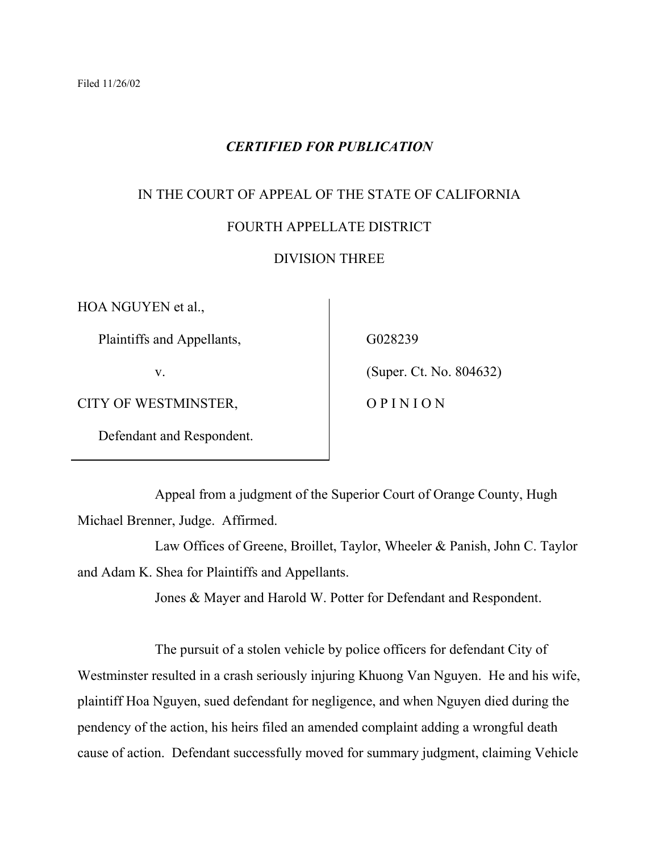# *CERTIFIED FOR PUBLICATION*

# IN THE COURT OF APPEAL OF THE STATE OF CALIFORNIA

## FOURTH APPELLATE DISTRICT

## DIVISION THREE

HOA NGUYEN et al.,

Plaintiffs and Appellants,

v.

CITY OF WESTMINSTER,

Defendant and Respondent.

G028239

(Super. Ct. No. 804632)

O P I N I O N

 Appeal from a judgment of the Superior Court of Orange County, Hugh Michael Brenner, Judge. Affirmed.

 Law Offices of Greene, Broillet, Taylor, Wheeler & Panish, John C. Taylor and Adam K. Shea for Plaintiffs and Appellants.

Jones & Mayer and Harold W. Potter for Defendant and Respondent.

 The pursuit of a stolen vehicle by police officers for defendant City of Westminster resulted in a crash seriously injuring Khuong Van Nguyen. He and his wife, plaintiff Hoa Nguyen, sued defendant for negligence, and when Nguyen died during the pendency of the action, his heirs filed an amended complaint adding a wrongful death cause of action. Defendant successfully moved for summary judgment, claiming Vehicle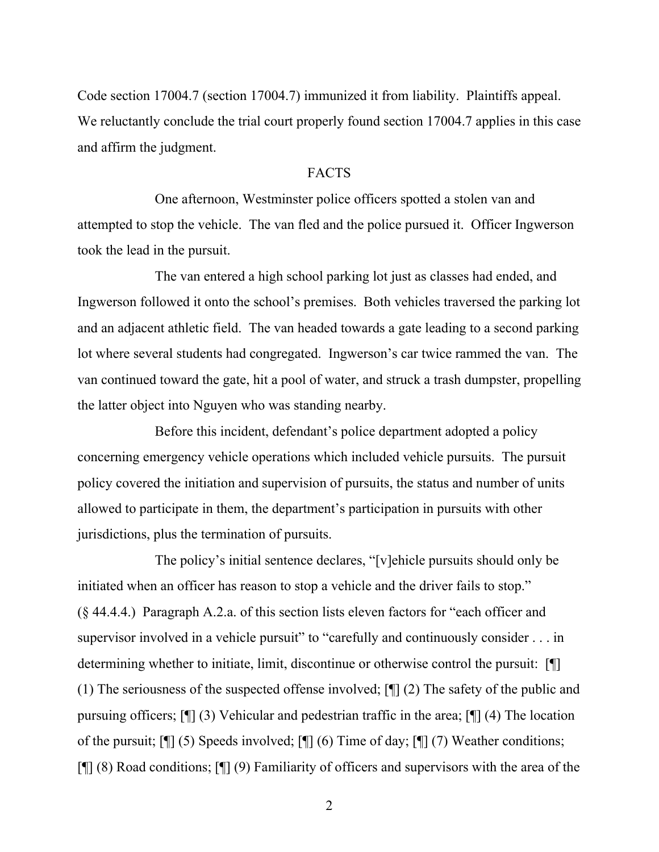Code section 17004.7 (section 17004.7) immunized it from liability. Plaintiffs appeal. We reluctantly conclude the trial court properly found section 17004.7 applies in this case and affirm the judgment.

#### FACTS

 One afternoon, Westminster police officers spotted a stolen van and attempted to stop the vehicle. The van fled and the police pursued it. Officer Ingwerson took the lead in the pursuit.

 The van entered a high school parking lot just as classes had ended, and Ingwerson followed it onto the school's premises. Both vehicles traversed the parking lot and an adjacent athletic field. The van headed towards a gate leading to a second parking lot where several students had congregated. Ingwerson's car twice rammed the van. The van continued toward the gate, hit a pool of water, and struck a trash dumpster, propelling the latter object into Nguyen who was standing nearby.

 Before this incident, defendant's police department adopted a policy concerning emergency vehicle operations which included vehicle pursuits. The pursuit policy covered the initiation and supervision of pursuits, the status and number of units allowed to participate in them, the department's participation in pursuits with other jurisdictions, plus the termination of pursuits.

 The policy's initial sentence declares, "[v]ehicle pursuits should only be initiated when an officer has reason to stop a vehicle and the driver fails to stop." (§ 44.4.4.) Paragraph A.2.a. of this section lists eleven factors for "each officer and supervisor involved in a vehicle pursuit" to "carefully and continuously consider . . . in determining whether to initiate, limit, discontinue or otherwise control the pursuit: [¶] (1) The seriousness of the suspected offense involved; [¶] (2) The safety of the public and pursuing officers; [¶] (3) Vehicular and pedestrian traffic in the area; [¶] (4) The location of the pursuit; [¶] (5) Speeds involved; [¶] (6) Time of day; [¶] (7) Weather conditions; [¶] (8) Road conditions; [¶] (9) Familiarity of officers and supervisors with the area of the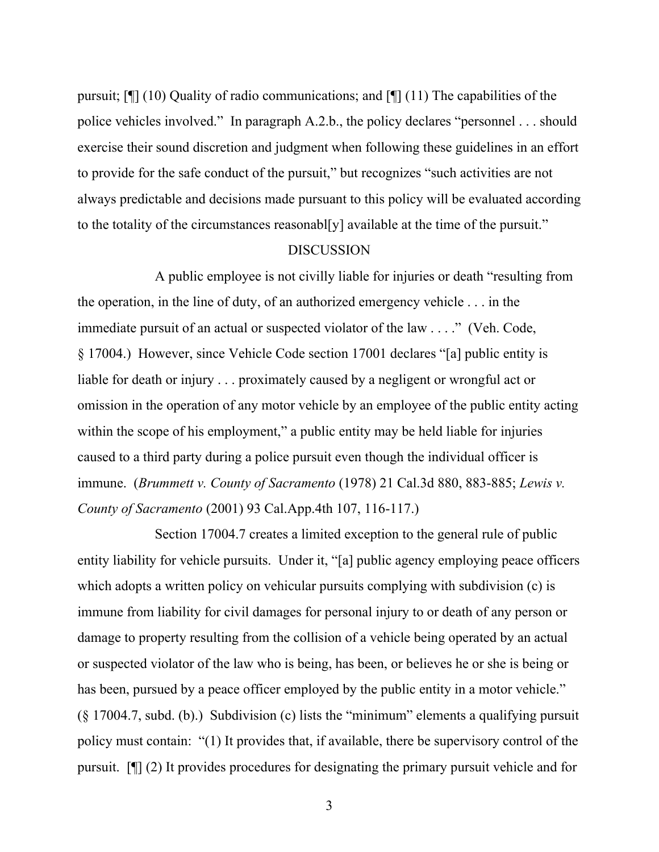pursuit; [¶] (10) Quality of radio communications; and [¶] (11) The capabilities of the police vehicles involved." In paragraph A.2.b., the policy declares "personnel . . . should exercise their sound discretion and judgment when following these guidelines in an effort to provide for the safe conduct of the pursuit," but recognizes "such activities are not always predictable and decisions made pursuant to this policy will be evaluated according to the totality of the circumstances reasonabl[y] available at the time of the pursuit."

#### DISCUSSION

 A public employee is not civilly liable for injuries or death "resulting from the operation, in the line of duty, of an authorized emergency vehicle . . . in the immediate pursuit of an actual or suspected violator of the law . . . ." (Veh. Code, § 17004.) However, since Vehicle Code section 17001 declares "[a] public entity is liable for death or injury . . . proximately caused by a negligent or wrongful act or omission in the operation of any motor vehicle by an employee of the public entity acting within the scope of his employment," a public entity may be held liable for injuries caused to a third party during a police pursuit even though the individual officer is immune. (*Brummett v. County of Sacramento* (1978) 21 Cal.3d 880, 883-885; *Lewis v. County of Sacramento* (2001) 93 Cal.App.4th 107, 116-117.)

 Section 17004.7 creates a limited exception to the general rule of public entity liability for vehicle pursuits. Under it, "[a] public agency employing peace officers which adopts a written policy on vehicular pursuits complying with subdivision (c) is immune from liability for civil damages for personal injury to or death of any person or damage to property resulting from the collision of a vehicle being operated by an actual or suspected violator of the law who is being, has been, or believes he or she is being or has been, pursued by a peace officer employed by the public entity in a motor vehicle." (§ 17004.7, subd. (b).) Subdivision (c) lists the "minimum" elements a qualifying pursuit policy must contain: "(1) It provides that, if available, there be supervisory control of the pursuit. [¶] (2) It provides procedures for designating the primary pursuit vehicle and for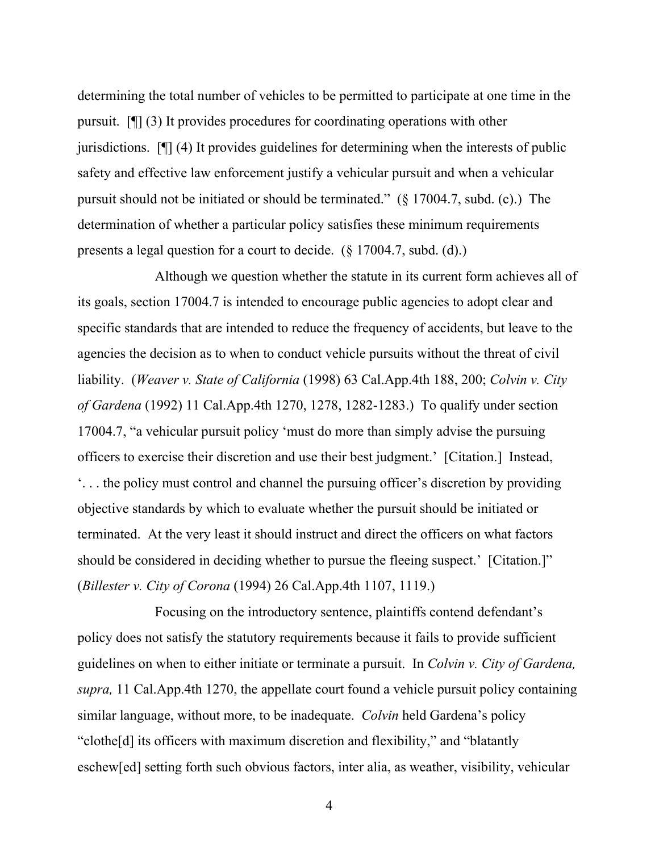determining the total number of vehicles to be permitted to participate at one time in the pursuit. [¶] (3) It provides procedures for coordinating operations with other jurisdictions. [¶] (4) It provides guidelines for determining when the interests of public safety and effective law enforcement justify a vehicular pursuit and when a vehicular pursuit should not be initiated or should be terminated." (§ 17004.7, subd. (c).) The determination of whether a particular policy satisfies these minimum requirements presents a legal question for a court to decide. (§ 17004.7, subd. (d).)

 Although we question whether the statute in its current form achieves all of its goals, section 17004.7 is intended to encourage public agencies to adopt clear and specific standards that are intended to reduce the frequency of accidents, but leave to the agencies the decision as to when to conduct vehicle pursuits without the threat of civil liability. (*Weaver v. State of California* (1998) 63 Cal.App.4th 188, 200; *Colvin v. City of Gardena* (1992) 11 Cal.App.4th 1270, 1278, 1282-1283.) To qualify under section 17004.7, "a vehicular pursuit policy 'must do more than simply advise the pursuing officers to exercise their discretion and use their best judgment.' [Citation.] Instead, '. . . the policy must control and channel the pursuing officer's discretion by providing objective standards by which to evaluate whether the pursuit should be initiated or terminated. At the very least it should instruct and direct the officers on what factors should be considered in deciding whether to pursue the fleeing suspect.' [Citation.]" (*Billester v. City of Corona* (1994) 26 Cal.App.4th 1107, 1119.)

 Focusing on the introductory sentence, plaintiffs contend defendant's policy does not satisfy the statutory requirements because it fails to provide sufficient guidelines on when to either initiate or terminate a pursuit. In *Colvin v. City of Gardena, supra,* 11 Cal.App.4th 1270, the appellate court found a vehicle pursuit policy containing similar language, without more, to be inadequate. *Colvin* held Gardena's policy "clothe[d] its officers with maximum discretion and flexibility," and "blatantly eschew[ed] setting forth such obvious factors, inter alia, as weather, visibility, vehicular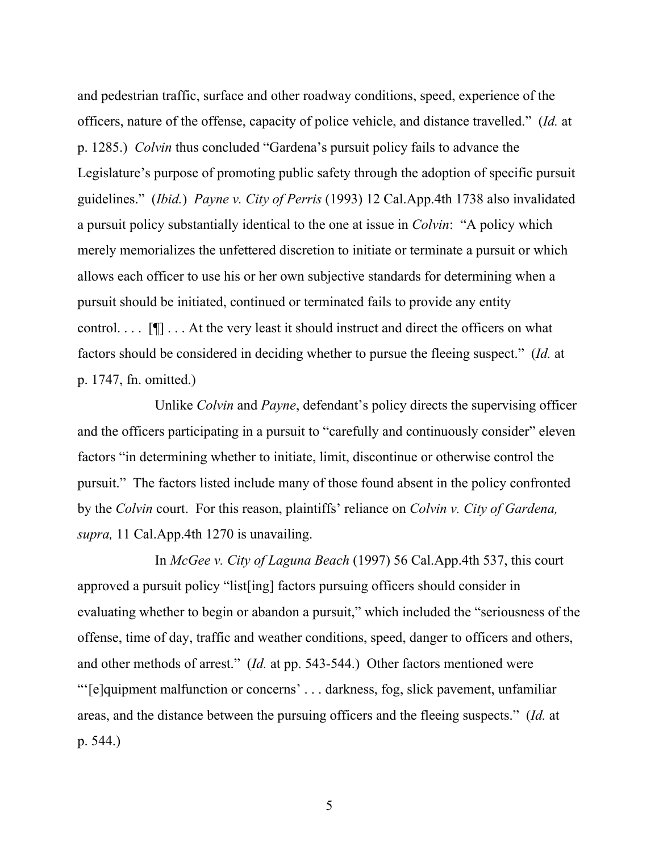and pedestrian traffic, surface and other roadway conditions, speed, experience of the officers, nature of the offense, capacity of police vehicle, and distance travelled." (*Id.* at p. 1285.) *Colvin* thus concluded "Gardena's pursuit policy fails to advance the Legislature's purpose of promoting public safety through the adoption of specific pursuit guidelines." (*Ibid.*) *Payne v. City of Perris* (1993) 12 Cal.App.4th 1738 also invalidated a pursuit policy substantially identical to the one at issue in *Colvin*: "A policy which merely memorializes the unfettered discretion to initiate or terminate a pursuit or which allows each officer to use his or her own subjective standards for determining when a pursuit should be initiated, continued or terminated fails to provide any entity control.  $\ldots$  [ $\blacksquare$ ] . . . At the very least it should instruct and direct the officers on what factors should be considered in deciding whether to pursue the fleeing suspect." (*Id.* at p. 1747, fn. omitted.)

 Unlike *Colvin* and *Payne*, defendant's policy directs the supervising officer and the officers participating in a pursuit to "carefully and continuously consider" eleven factors "in determining whether to initiate, limit, discontinue or otherwise control the pursuit." The factors listed include many of those found absent in the policy confronted by the *Colvin* court. For this reason, plaintiffs' reliance on *Colvin v. City of Gardena, supra,* 11 Cal.App.4th 1270 is unavailing.

 In *McGee v. City of Laguna Beach* (1997) 56 Cal.App.4th 537, this court approved a pursuit policy "list[ing] factors pursuing officers should consider in evaluating whether to begin or abandon a pursuit," which included the "seriousness of the offense, time of day, traffic and weather conditions, speed, danger to officers and others, and other methods of arrest." (*Id.* at pp. 543-544.) Other factors mentioned were "'[e]quipment malfunction or concerns' . . . darkness, fog, slick pavement, unfamiliar areas, and the distance between the pursuing officers and the fleeing suspects." (*Id.* at p. 544.)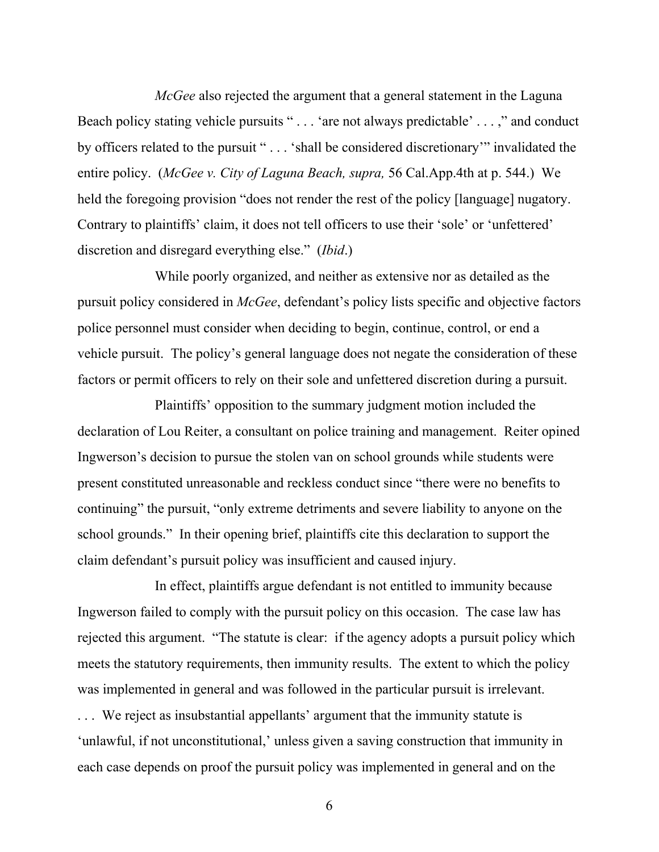*McGee* also rejected the argument that a general statement in the Laguna Beach policy stating vehicle pursuits " . . . 'are not always predictable' . . . ," and conduct by officers related to the pursuit " . . . 'shall be considered discretionary'" invalidated the entire policy. (*McGee v. City of Laguna Beach, supra,* 56 Cal.App.4th at p. 544.) We held the foregoing provision "does not render the rest of the policy [language] nugatory. Contrary to plaintiffs' claim, it does not tell officers to use their 'sole' or 'unfettered' discretion and disregard everything else." (*Ibid*.)

 While poorly organized, and neither as extensive nor as detailed as the pursuit policy considered in *McGee*, defendant's policy lists specific and objective factors police personnel must consider when deciding to begin, continue, control, or end a vehicle pursuit. The policy's general language does not negate the consideration of these factors or permit officers to rely on their sole and unfettered discretion during a pursuit.

 Plaintiffs' opposition to the summary judgment motion included the declaration of Lou Reiter, a consultant on police training and management. Reiter opined Ingwerson's decision to pursue the stolen van on school grounds while students were present constituted unreasonable and reckless conduct since "there were no benefits to continuing" the pursuit, "only extreme detriments and severe liability to anyone on the school grounds." In their opening brief, plaintiffs cite this declaration to support the claim defendant's pursuit policy was insufficient and caused injury.

 In effect, plaintiffs argue defendant is not entitled to immunity because Ingwerson failed to comply with the pursuit policy on this occasion. The case law has rejected this argument. "The statute is clear: if the agency adopts a pursuit policy which meets the statutory requirements, then immunity results. The extent to which the policy was implemented in general and was followed in the particular pursuit is irrelevant.

. . . We reject as insubstantial appellants' argument that the immunity statute is 'unlawful, if not unconstitutional,' unless given a saving construction that immunity in each case depends on proof the pursuit policy was implemented in general and on the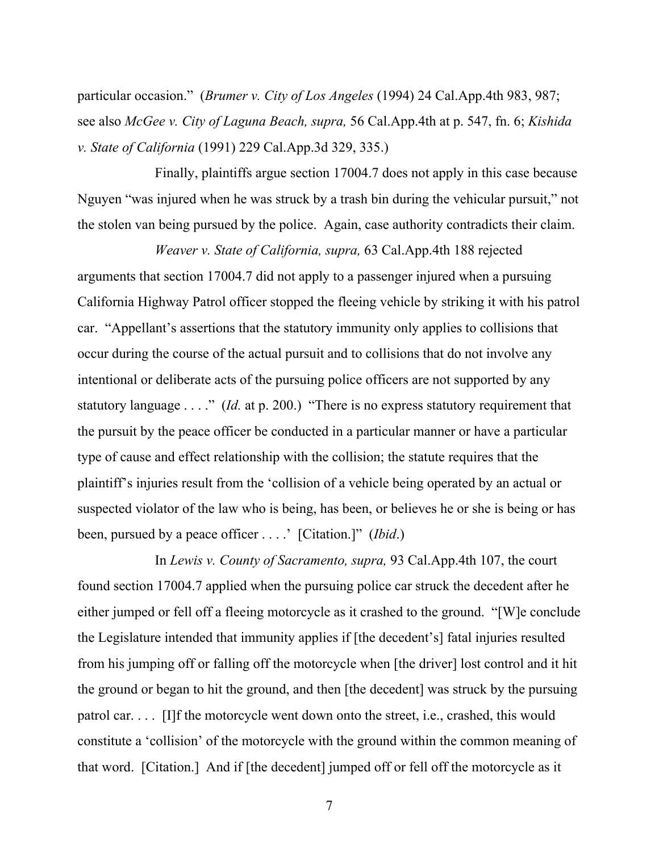particular occasion." (*Brumer v. City of Los Angeles* (1994) 24 Cal.App.4th 983, 987; see also *McGee v. City of Laguna Beach, supra,* 56 Cal.App.4th at p. 547, fn. 6; *Kishida v. State of California* (1991) 229 Cal.App.3d 329, 335.)

 Finally, plaintiffs argue section 17004.7 does not apply in this case because Nguyen "was injured when he was struck by a trash bin during the vehicular pursuit," not the stolen van being pursued by the police. Again, case authority contradicts their claim.

*Weaver v. State of California, supra,* 63 Cal.App.4th 188 rejected arguments that section 17004.7 did not apply to a passenger injured when a pursuing California Highway Patrol officer stopped the fleeing vehicle by striking it with his patrol car. "Appellant's assertions that the statutory immunity only applies to collisions that occur during the course of the actual pursuit and to collisions that do not involve any intentional or deliberate acts of the pursuing police officers are not supported by any statutory language . . . ." (*Id.* at p. 200.) "There is no express statutory requirement that the pursuit by the peace officer be conducted in a particular manner or have a particular type of cause and effect relationship with the collision; the statute requires that the plaintiff's injuries result from the 'collision of a vehicle being operated by an actual or suspected violator of the law who is being, has been, or believes he or she is being or has been, pursued by a peace officer . . . .' [Citation.]" (*Ibid*.)

 In *Lewis v. County of Sacramento, supra,* 93 Cal.App.4th 107, the court found section 17004.7 applied when the pursuing police car struck the decedent after he either jumped or fell off a fleeing motorcycle as it crashed to the ground. "[W]e conclude the Legislature intended that immunity applies if [the decedent's] fatal injuries resulted from his jumping off or falling off the motorcycle when [the driver] lost control and it hit the ground or began to hit the ground, and then [the decedent] was struck by the pursuing patrol car. . . . [I]f the motorcycle went down onto the street, i.e., crashed, this would constitute a 'collision' of the motorcycle with the ground within the common meaning of that word. [Citation.] And if [the decedent] jumped off or fell off the motorcycle as it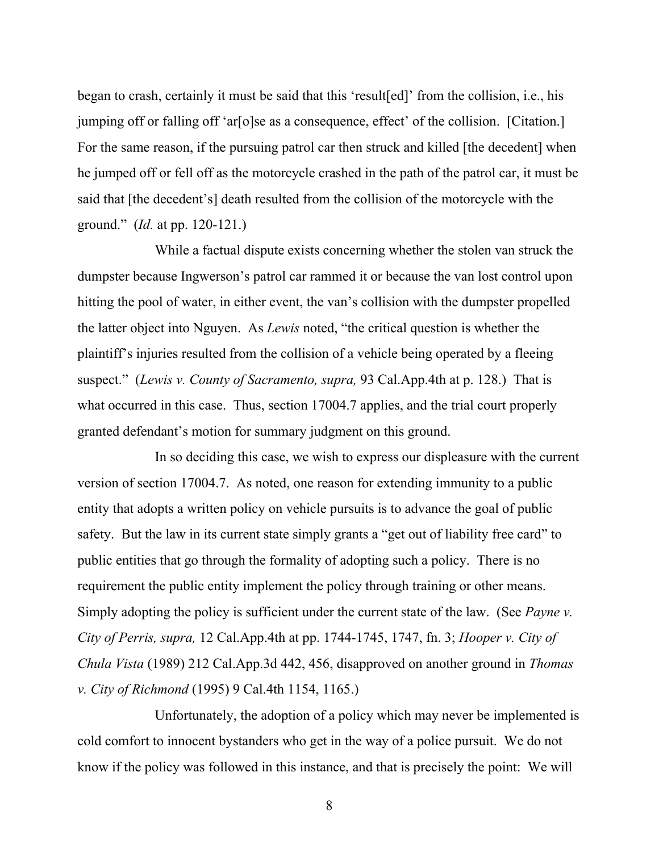began to crash, certainly it must be said that this 'result[ed]' from the collision, i.e., his jumping off or falling off 'ar[o]se as a consequence, effect' of the collision. [Citation.] For the same reason, if the pursuing patrol car then struck and killed [the decedent] when he jumped off or fell off as the motorcycle crashed in the path of the patrol car, it must be said that [the decedent's] death resulted from the collision of the motorcycle with the ground." (*Id.* at pp. 120-121.)

 While a factual dispute exists concerning whether the stolen van struck the dumpster because Ingwerson's patrol car rammed it or because the van lost control upon hitting the pool of water, in either event, the van's collision with the dumpster propelled the latter object into Nguyen. As *Lewis* noted, "the critical question is whether the plaintiff's injuries resulted from the collision of a vehicle being operated by a fleeing suspect." (*Lewis v. County of Sacramento, supra,* 93 Cal.App.4th at p. 128.) That is what occurred in this case. Thus, section 17004.7 applies, and the trial court properly granted defendant's motion for summary judgment on this ground.

 In so deciding this case, we wish to express our displeasure with the current version of section 17004.7. As noted, one reason for extending immunity to a public entity that adopts a written policy on vehicle pursuits is to advance the goal of public safety. But the law in its current state simply grants a "get out of liability free card" to public entities that go through the formality of adopting such a policy. There is no requirement the public entity implement the policy through training or other means. Simply adopting the policy is sufficient under the current state of the law. (See *Payne v. City of Perris, supra,* 12 Cal.App.4th at pp. 1744-1745, 1747, fn. 3; *Hooper v. City of Chula Vista* (1989) 212 Cal.App.3d 442, 456, disapproved on another ground in *Thomas v. City of Richmond* (1995) 9 Cal.4th 1154, 1165.)

 Unfortunately, the adoption of a policy which may never be implemented is cold comfort to innocent bystanders who get in the way of a police pursuit. We do not know if the policy was followed in this instance, and that is precisely the point: We will